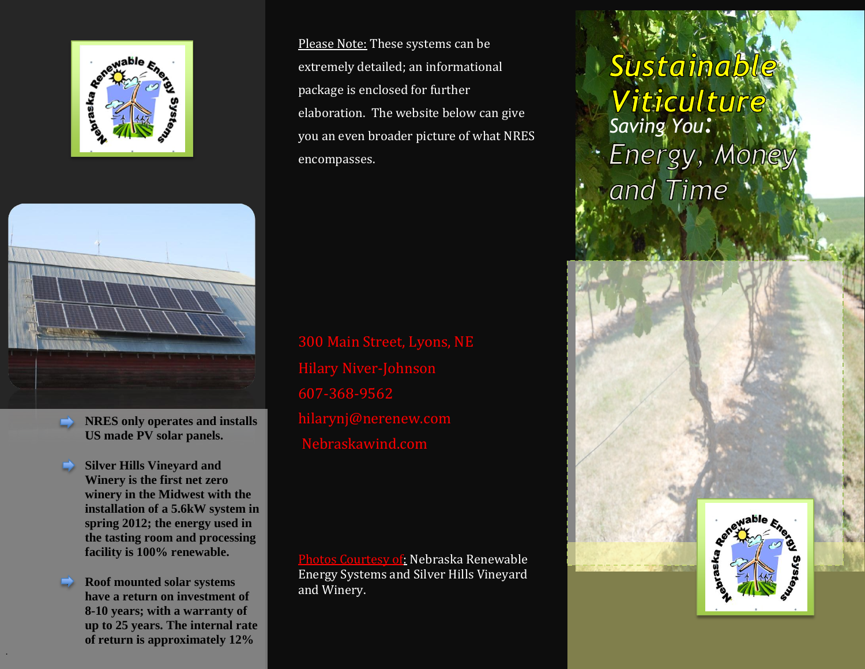



- **NRES only operates and installs US made PV solar panels.**
- **Silver Hills Vineyard and Winery is the first net zero winery in the Midwest with the installation of a 5.6kW system in spring 2012; the energy used in the tasting room and processing facility is 100% renewable.**
- **Roof mounted solar systems have a return on investment of 8-10 years; with a warranty of up to 25 years. The internal rate of return is approximately 12%**

.

Please Note: These systems can be extremely detailed; an informational package is enclosed for further elaboration. The website below can give you an even broader picture of what NRES encompasses.

300 Main Street, Lyons, NE Hilary Niver-Johnson 607-368-9562 hilarynj@nerenew.com Nebraskawind.com

Photos Courtesy of: Nebraska Renewable Energy Systems and Silver Hills Vineyard and Winery.

# *Sustainable*<br>*Viticulture*<br>Saving You: · Energy, Money and Time